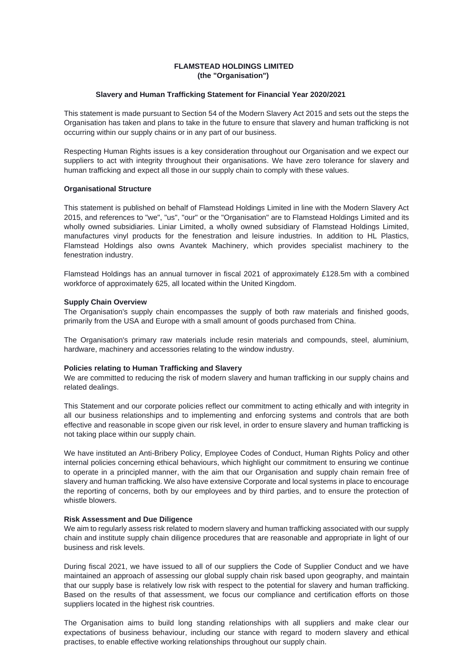# **FLAMSTEAD HOLDINGS LIMITED (the "Organisation")**

### **Slavery and Human Trafficking Statement for Financial Year 2020/2021**

This statement is made pursuant to Section 54 of the Modern Slavery Act 2015 and sets out the steps the Organisation has taken and plans to take in the future to ensure that slavery and human trafficking is not occurring within our supply chains or in any part of our business.

Respecting Human Rights issues is a key consideration throughout our Organisation and we expect our suppliers to act with integrity throughout their organisations. We have zero tolerance for slavery and human trafficking and expect all those in our supply chain to comply with these values.

### **Organisational Structure**

This statement is published on behalf of Flamstead Holdings Limited in line with the Modern Slavery Act 2015, and references to "we", "us", "our" or the "Organisation" are to Flamstead Holdings Limited and its wholly owned subsidiaries. Liniar Limited, a wholly owned subsidiary of Flamstead Holdings Limited, manufactures vinyl products for the fenestration and leisure industries. In addition to HL Plastics, Flamstead Holdings also owns Avantek Machinery, which provides specialist machinery to the fenestration industry.

Flamstead Holdings has an annual turnover in fiscal 2021 of approximately £128.5m with a combined workforce of approximately 625, all located within the United Kingdom.

### **Supply Chain Overview**

The Organisation's supply chain encompasses the supply of both raw materials and finished goods, primarily from the USA and Europe with a small amount of goods purchased from China.

The Organisation's primary raw materials include resin materials and compounds, steel, aluminium, hardware, machinery and accessories relating to the window industry.

#### **Policies relating to Human Trafficking and Slavery**

We are committed to reducing the risk of modern slavery and human trafficking in our supply chains and related dealings.

This Statement and our corporate policies reflect our commitment to acting ethically and with integrity in all our business relationships and to implementing and enforcing systems and controls that are both effective and reasonable in scope given our risk level, in order to ensure slavery and human trafficking is not taking place within our supply chain.

We have instituted an Anti-Bribery Policy, Employee Codes of Conduct, Human Rights Policy and other internal policies concerning ethical behaviours, which highlight our commitment to ensuring we continue to operate in a principled manner, with the aim that our Organisation and supply chain remain free of slavery and human trafficking. We also have extensive Corporate and local systems in place to encourage the reporting of concerns, both by our employees and by third parties, and to ensure the protection of whistle blowers.

# **Risk Assessment and Due Diligence**

We aim to regularly assess risk related to modern slavery and human trafficking associated with our supply chain and institute supply chain diligence procedures that are reasonable and appropriate in light of our business and risk levels.

During fiscal 2021, we have issued to all of our suppliers the Code of Supplier Conduct and we have maintained an approach of assessing our global supply chain risk based upon geography, and maintain that our supply base is relatively low risk with respect to the potential for slavery and human trafficking. Based on the results of that assessment, we focus our compliance and certification efforts on those suppliers located in the highest risk countries.

The Organisation aims to build long standing relationships with all suppliers and make clear our expectations of business behaviour, including our stance with regard to modern slavery and ethical practises, to enable effective working relationships throughout our supply chain.